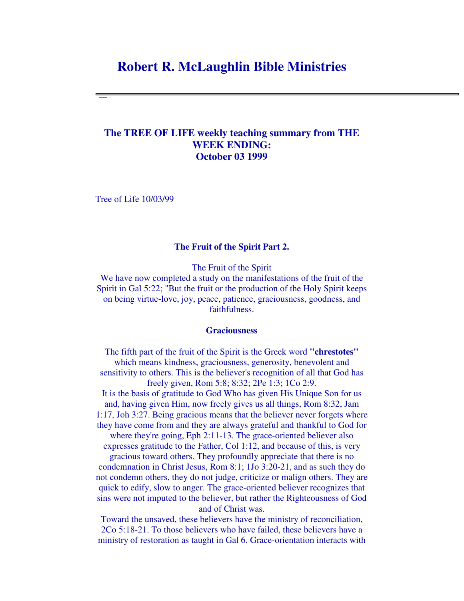# **Robert R. McLaughlin Bible Ministries**

# **The TREE OF LIFE weekly teaching summary from THE WEEK ENDING: October 03 1999**

Tree of Life 10/03/99

#### **The Fruit of the Spirit Part 2.**

The Fruit of the Spirit

We have now completed a study on the manifestations of the fruit of the Spirit in Gal 5:22; "But the fruit or the production of the Holy Spirit keeps on being virtue-love, joy, peace, patience, graciousness, goodness, and faithfulness.

## **Graciousness**

The fifth part of the fruit of the Spirit is the Greek word **"chrestotes"** which means kindness, graciousness, generosity, benevolent and sensitivity to others. This is the believer's recognition of all that God has freely given, Rom 5:8; 8:32; 2Pe 1:3; 1Co 2:9.

It is the basis of gratitude to God Who has given His Unique Son for us and, having given Him, now freely gives us all things, Rom 8:32, Jam 1:17, Joh 3:27. Being gracious means that the believer never forgets where they have come from and they are always grateful and thankful to God for

where they're going, Eph 2:11-13. The grace-oriented believer also expresses gratitude to the Father, Col 1:12, and because of this, is very

gracious toward others. They profoundly appreciate that there is no condemnation in Christ Jesus, Rom 8:1; 1Jo 3:20-21, and as such they do not condemn others, they do not judge, criticize or malign others. They are quick to edify, slow to anger. The grace-oriented believer recognizes that sins were not imputed to the believer, but rather the Righteousness of God and of Christ was.

Toward the unsaved, these believers have the ministry of reconciliation, 2Co 5:18-21. To those believers who have failed, these believers have a ministry of restoration as taught in Gal 6. Grace-orientation interacts with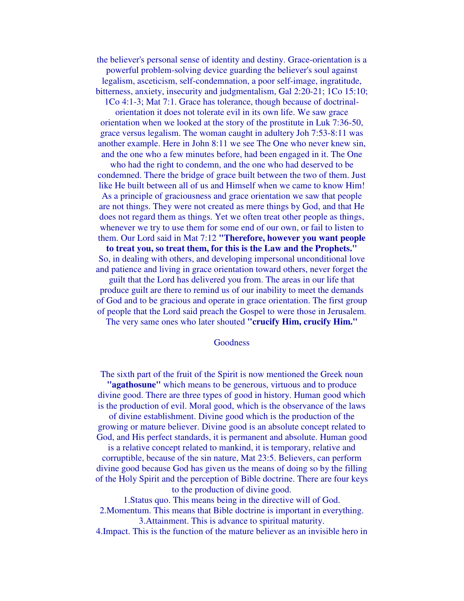the believer's personal sense of identity and destiny. Grace-orientation is a powerful problem-solving device guarding the believer's soul against legalism, asceticism, self-condemnation, a poor self-image, ingratitude, bitterness, anxiety, insecurity and judgmentalism, Gal 2:20-21; 1Co 15:10;

1Co 4:1-3; Mat 7:1. Grace has tolerance, though because of doctrinal-

orientation it does not tolerate evil in its own life. We saw grace orientation when we looked at the story of the prostitute in Luk 7:36-50, grace versus legalism. The woman caught in adultery Joh 7:53-8:11 was another example. Here in John 8:11 we see The One who never knew sin, and the one who a few minutes before, had been engaged in it. The One

who had the right to condemn, and the one who had deserved to be condemned. There the bridge of grace built between the two of them. Just like He built between all of us and Himself when we came to know Him! As a principle of graciousness and grace orientation we saw that people are not things. They were not created as mere things by God, and that He does not regard them as things. Yet we often treat other people as things, whenever we try to use them for some end of our own, or fail to listen to them. Our Lord said in Mat 7:12 **"Therefore, however you want people**

**to treat you, so treat them, for this is the Law and the Prophets."** So, in dealing with others, and developing impersonal unconditional love and patience and living in grace orientation toward others, never forget the

guilt that the Lord has delivered you from. The areas in our life that produce guilt are there to remind us of our inability to meet the demands of God and to be gracious and operate in grace orientation. The first group of people that the Lord said preach the Gospel to were those in Jerusalem.

The very same ones who later shouted **"crucify Him, crucify Him."**

#### Goodness

The sixth part of the fruit of the Spirit is now mentioned the Greek noun **"agathosune"** which means to be generous, virtuous and to produce

divine good. There are three types of good in history. Human good which is the production of evil. Moral good, which is the observance of the laws of divine establishment. Divine good which is the production of the

growing or mature believer. Divine good is an absolute concept related to God, and His perfect standards, it is permanent and absolute. Human good

is a relative concept related to mankind, it is temporary, relative and corruptible, because of the sin nature, Mat 23:5. Believers, can perform divine good because God has given us the means of doing so by the filling of the Holy Spirit and the perception of Bible doctrine. There are four keys to the production of divine good.

1.Status quo. This means being in the directive will of God.

2.Momentum. This means that Bible doctrine is important in everything. 3.Attainment. This is advance to spiritual maturity.

4.Impact. This is the function of the mature believer as an invisible hero in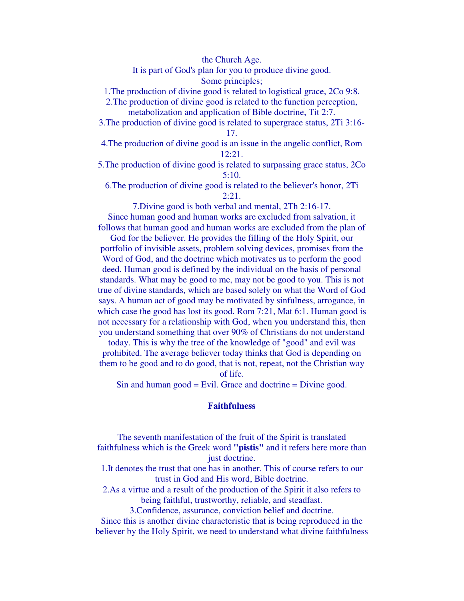the Church Age.

It is part of God's plan for you to produce divine good. Some principles;

1.The production of divine good is related to logistical grace, 2Co 9:8.

2.The production of divine good is related to the function perception, metabolization and application of Bible doctrine, Tit 2:7.

3.The production of divine good is related to supergrace status, 2Ti 3:16- 17.

4.The production of divine good is an issue in the angelic conflict, Rom 12:21.

5.The production of divine good is related to surpassing grace status, 2Co 5:10.

6.The production of divine good is related to the believer's honor, 2Ti 2:21.

7.Divine good is both verbal and mental, 2Th 2:16-17.

Since human good and human works are excluded from salvation, it follows that human good and human works are excluded from the plan of

God for the believer. He provides the filling of the Holy Spirit, our portfolio of invisible assets, problem solving devices, promises from the Word of God, and the doctrine which motivates us to perform the good deed. Human good is defined by the individual on the basis of personal standards. What may be good to me, may not be good to you. This is not true of divine standards, which are based solely on what the Word of God says. A human act of good may be motivated by sinfulness, arrogance, in which case the good has lost its good. Rom 7:21, Mat 6:1. Human good is not necessary for a relationship with God, when you understand this, then you understand something that over 90% of Christians do not understand

today. This is why the tree of the knowledge of "good" and evil was prohibited. The average believer today thinks that God is depending on them to be good and to do good, that is not, repeat, not the Christian way of life.

Sin and human good = Evil. Grace and doctrine = Divine good.

## **Faithfulness**

The seventh manifestation of the fruit of the Spirit is translated faithfulness which is the Greek word **"pistis"** and it refers here more than just doctrine.

1.It denotes the trust that one has in another. This of course refers to our trust in God and His word, Bible doctrine.

2.As a virtue and a result of the production of the Spirit it also refers to being faithful, trustworthy, reliable, and steadfast.

3.Confidence, assurance, conviction belief and doctrine.

Since this is another divine characteristic that is being reproduced in the believer by the Holy Spirit, we need to understand what divine faithfulness